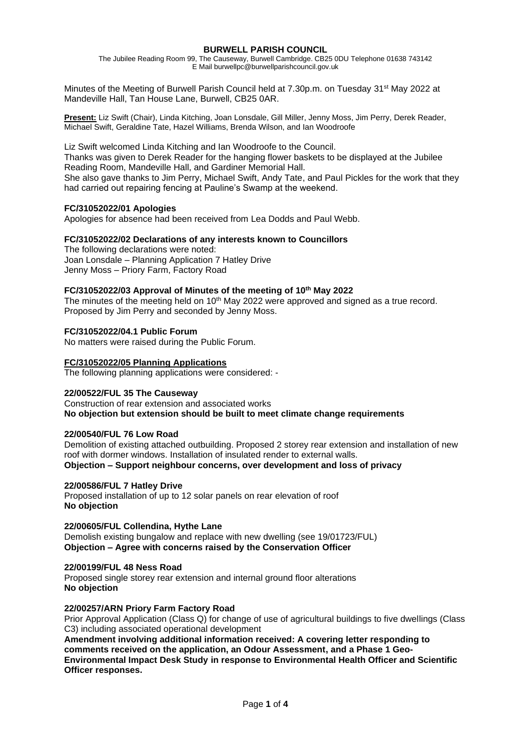# **BURWELL PARISH COUNCIL**

The Jubilee Reading Room 99, The Causeway, Burwell Cambridge. CB25 0DU Telephone 01638 743142 E Mail burwellpc@burwellparishcouncil.gov.uk

Minutes of the Meeting of Burwell Parish Council held at 7.30p.m. on Tuesday 31<sup>st</sup> May 2022 at Mandeville Hall, Tan House Lane, Burwell, CB25 0AR.

**Present:** Liz Swift (Chair), Linda Kitching, Joan Lonsdale, Gill Miller, Jenny Moss, Jim Perry, Derek Reader, Michael Swift, Geraldine Tate, Hazel Williams, Brenda Wilson, and Ian Woodroofe

Liz Swift welcomed Linda Kitching and Ian Woodroofe to the Council. Thanks was given to Derek Reader for the hanging flower baskets to be displayed at the Jubilee Reading Room, Mandeville Hall, and Gardiner Memorial Hall. She also gave thanks to Jim Perry, Michael Swift, Andy Tate, and Paul Pickles for the work that they had carried out repairing fencing at Pauline's Swamp at the weekend.

# **FC/31052022/01 Apologies**

Apologies for absence had been received from Lea Dodds and Paul Webb.

# **FC/31052022/02 Declarations of any interests known to Councillors**

The following declarations were noted: Joan Lonsdale – Planning Application 7 Hatley Drive Jenny Moss – Priory Farm, Factory Road

# **FC/31052022/03 Approval of Minutes of the meeting of 10th May 2022**

The minutes of the meeting held on  $10<sup>th</sup>$  May 2022 were approved and signed as a true record. Proposed by Jim Perry and seconded by Jenny Moss.

**FC/31052022/04.1 Public Forum** 

No matters were raised during the Public Forum.

# **FC/31052022/05 Planning Applications**

The following planning applications were considered: -

# **22/00522/FUL 35 The Causeway**

Construction of rear extension and associated works **No objection but extension should be built to meet climate change requirements**

# **22/00540/FUL 76 Low Road**

Demolition of existing attached outbuilding. Proposed 2 storey rear extension and installation of new roof with dormer windows. Installation of insulated render to external walls. **Objection – Support neighbour concerns, over development and loss of privacy**

# **22/00586/FUL 7 Hatley Drive**

Proposed installation of up to 12 solar panels on rear elevation of roof **No objection**

# **22/00605/FUL Collendina, Hythe Lane**

Demolish existing bungalow and replace with new dwelling (see 19/01723/FUL) **Objection – Agree with concerns raised by the Conservation Officer**

# **22/00199/FUL 48 Ness Road**

Proposed single storey rear extension and internal ground floor alterations **No objection**

# **22/00257/ARN Priory Farm Factory Road**

Prior Approval Application (Class Q) for change of use of agricultural buildings to five dwellings (Class C3) including associated operational development

**Amendment involving additional information received: A covering letter responding to comments received on the application, an Odour Assessment, and a Phase 1 Geo-Environmental Impact Desk Study in response to Environmental Health Officer and Scientific Officer responses.**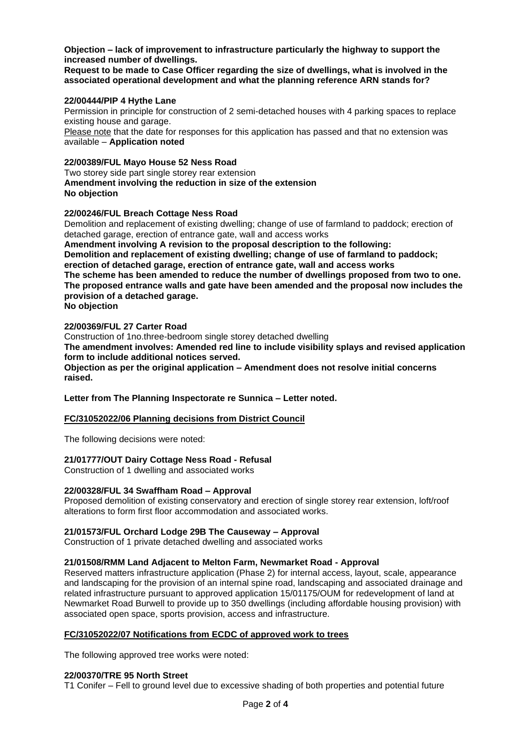# **Objection – lack of improvement to infrastructure particularly the highway to support the increased number of dwellings.**

**Request to be made to Case Officer regarding the size of dwellings, what is involved in the associated operational development and what the planning reference ARN stands for?**

# **22/00444/PIP 4 Hythe Lane**

Permission in principle for construction of 2 semi-detached houses with 4 parking spaces to replace existing house and garage.

Please note that the date for responses for this application has passed and that no extension was available – **Application noted**

# **22/00389/FUL Mayo House 52 Ness Road**

Two storey side part single storey rear extension **Amendment involving the reduction in size of the extension No objection**

# **22/00246/FUL Breach Cottage Ness Road**

Demolition and replacement of existing dwelling; change of use of farmland to paddock; erection of detached garage, erection of entrance gate, wall and access works

**Amendment involving A revision to the proposal description to the following: Demolition and replacement of existing dwelling; change of use of farmland to paddock; erection of detached garage, erection of entrance gate, wall and access works The scheme has been amended to reduce the number of dwellings proposed from two to one. The proposed entrance walls and gate have been amended and the proposal now includes the provision of a detached garage. No objection**

# **22/00369/FUL 27 Carter Road**

Construction of 1no.three-bedroom single storey detached dwelling

**The amendment involves: Amended red line to include visibility splays and revised application form to include additional notices served.**

**Objection as per the original application – Amendment does not resolve initial concerns raised.**

# **Letter from The Planning Inspectorate re Sunnica – Letter noted.**

# **FC/31052022/06 Planning decisions from District Council**

The following decisions were noted:

# **21/01777/OUT Dairy Cottage Ness Road - Refusal**

Construction of 1 dwelling and associated works

# **22/00328/FUL 34 Swaffham Road – Approval**

Proposed demolition of existing conservatory and erection of single storey rear extension, loft/roof alterations to form first floor accommodation and associated works.

# **21/01573/FUL Orchard Lodge 29B The Causeway – Approval**

Construction of 1 private detached dwelling and associated works

# **21/01508/RMM Land Adjacent to Melton Farm, Newmarket Road - Approval**

Reserved matters infrastructure application (Phase 2) for internal access, layout, scale, appearance and landscaping for the provision of an internal spine road, landscaping and associated drainage and related infrastructure pursuant to approved application 15/01175/OUM for redevelopment of land at Newmarket Road Burwell to provide up to 350 dwellings (including affordable housing provision) with associated open space, sports provision, access and infrastructure.

# **FC/31052022/07 Notifications from ECDC of approved work to trees**

The following approved tree works were noted:

# **22/00370/TRE 95 North Street**

T1 Conifer – Fell to ground level due to excessive shading of both properties and potential future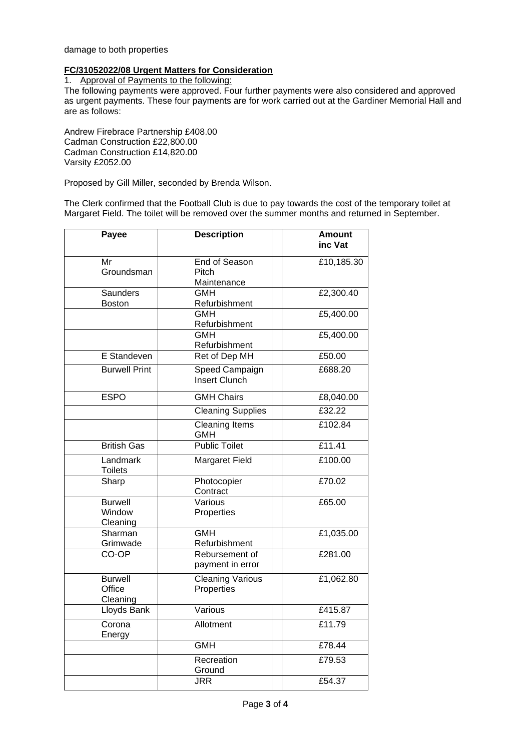# damage to both properties

# **FC/31052022/08 Urgent Matters for Consideration**

1. Approval of Payments to the following:

The following payments were approved. Four further payments were also considered and approved as urgent payments. These four payments are for work carried out at the Gardiner Memorial Hall and are as follows:

Andrew Firebrace Partnership £408.00 Cadman Construction £22,800.00 Cadman Construction £14,820.00 Varsity £2052.00

Proposed by Gill Miller, seconded by Brenda Wilson.

The Clerk confirmed that the Football Club is due to pay towards the cost of the temporary toilet at Margaret Field. The toilet will be removed over the summer months and returned in September.

| Payee                                  | <b>Description</b>                           | <b>Amount</b><br>inc Vat |
|----------------------------------------|----------------------------------------------|--------------------------|
| $\overline{\mathsf{Mr}}$<br>Groundsman | <b>End of Season</b><br>Pitch<br>Maintenance | £10,185.30               |
| Saunders                               | <b>GMH</b>                                   | £2,300.40                |
| <b>Boston</b>                          | Refurbishment                                |                          |
|                                        | <b>GMH</b><br>Refurbishment                  | £5,400.00                |
|                                        | <b>GMH</b><br>Refurbishment                  | £5,400.00                |
| E Standeven                            | Ret of Dep MH                                | £50.00                   |
| <b>Burwell Print</b>                   | Speed Campaign<br><b>Insert Clunch</b>       | £688.20                  |
| <b>ESPO</b>                            | <b>GMH Chairs</b>                            | £8,040.00                |
|                                        | <b>Cleaning Supplies</b>                     | £32.22                   |
|                                        | <b>Cleaning Items</b><br><b>GMH</b>          | £102.84                  |
| <b>British Gas</b>                     | <b>Public Toilet</b>                         | £11.41                   |
| Landmark<br><b>Toilets</b>             | <b>Margaret Field</b>                        | £100.00                  |
| Sharp                                  | Photocopier<br>Contract                      | £70.02                   |
| <b>Burwell</b><br>Window<br>Cleaning   | Various<br>Properties                        | £65.00                   |
| Sharman                                | <b>GMH</b>                                   | £1,035.00                |
| Grimwade                               | Refurbishment                                |                          |
| CO-OP                                  | Rebursement of<br>payment in error           | £281.00                  |
| <b>Burwell</b><br>Office<br>Cleaning   | <b>Cleaning Various</b><br>Properties        | £1,062.80                |
| Lloyds Bank                            | Various                                      | £415.87                  |
| Corona<br>Energy                       | Allotment                                    | £11.79                   |
|                                        | <b>GMH</b>                                   | £78.44                   |
|                                        | Recreation<br>Ground                         | E79.53                   |
|                                        | JRR                                          | £54.37                   |